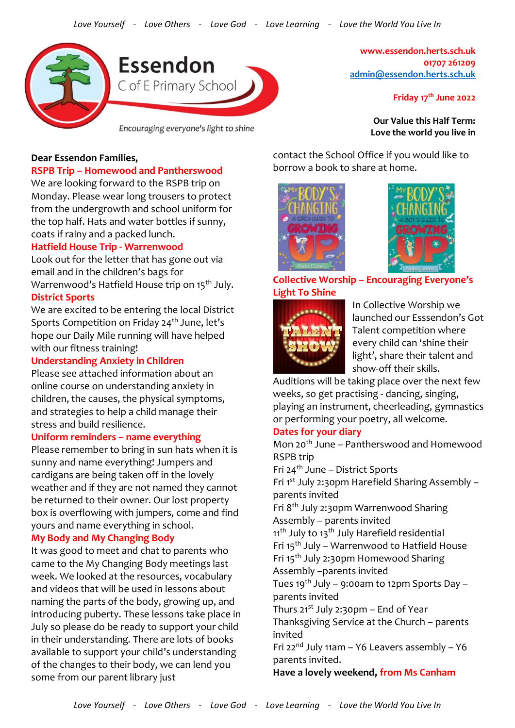

**www.essendon.herts.sch.uk 01707 261209 [admin@essendon.herts.sch.uk](mailto:admin@essendon.herts.sch.uk)**

**Friday 17th June 2022**

**Our Value this Half Term: Love the world you live in**

### **Dear Essendon Families,**

### **RSPB Trip – Homewood and Pantherswood**

We are looking forward to the RSPB trip on Monday. Please wear long trousers to protect from the undergrowth and school uniform for the top half. Hats and water bottles if sunny, coats if rainy and a packed lunch.

### **Hatfield House Trip - Warrenwood**

Look out for the letter that has gone out via email and in the children's bags for

Warrenwood's Hatfield House trip on 15<sup>th</sup> July. **District Sports**

We are excited to be entering the local District Sports Competition on Friday  $24<sup>th</sup>$  June, let's hope our Daily Mile running will have helped with our fitness training!

### **Understanding Anxiety in Children**

Please see attached information about an online course on understanding anxiety in children, the causes, the physical symptoms, and strategies to help a child manage their stress and build resilience.

### **Uniform reminders – name everything**

Please remember to bring in sun hats when it is sunny and name everything! Jumpers and cardigans are being taken off in the lovely weather and if they are not named they cannot be returned to their owner. Our lost property box is overflowing with jumpers, come and find yours and name everything in school.

### **My Body and My Changing Body**

It was good to meet and chat to parents who came to the My Changing Body meetings last week. We looked at the resources, vocabulary and videos that will be used in lessons about naming the parts of the body, growing up, and introducing puberty. These lessons take place in July so please do be ready to support your child in their understanding. There are lots of books available to support your child's understanding of the changes to their body, we can lend you some from our parent library just

contact the School Office if you would like to borrow a book to share at home.





**Collective Worship – Encouraging Everyone's Light To Shine**



In Collective Worship we launched our Esssendon's Got Talent competition where every child can 'shine their light', share their talent and show-off their skills.

Auditions will be taking place over the next few weeks, so get practising - dancing, singing, playing an instrument, cheerleading, gymnastics or performing your poetry, all welcome.

#### **Dates for your diary**

Mon 20th June – Pantherswood and Homewood RSPB trip Fri 24th June – District Sports

Fri 1st July 2:30pm Harefield Sharing Assembly – parents invited Fri 8th July 2:30pm Warrenwood Sharing

Assembly – parents invited

11<sup>th</sup> July to 13<sup>th</sup> July Harefield residential Fri 15th July – Warrenwood to Hatfield House

Fri 15th July 2:30pm Homewood Sharing

Assembly –parents invited

Tues 19<sup>th</sup> July – 9:00am to 12pm Sports Day – parents invited

Thurs  $21^{st}$  July 2:30pm – End of Year

Thanksgiving Service at the Church – parents invited

Fri 22<sup>nd</sup> July 11am – Y6 Leavers assembly – Y6 parents invited.

**Have a lovely weekend, from Ms Canham**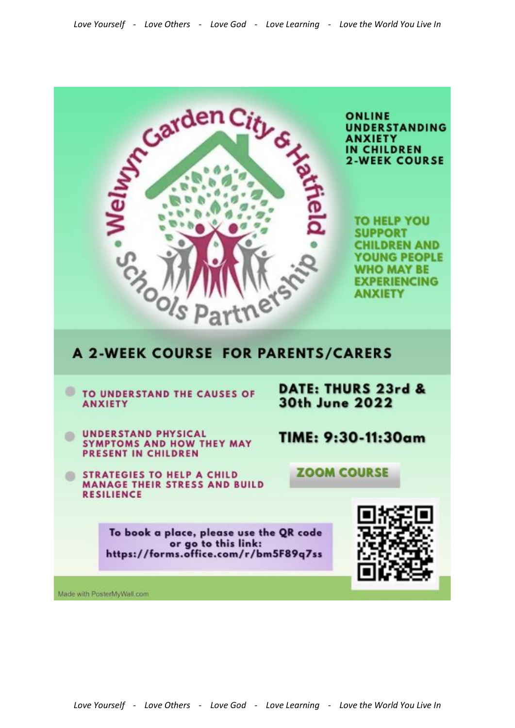